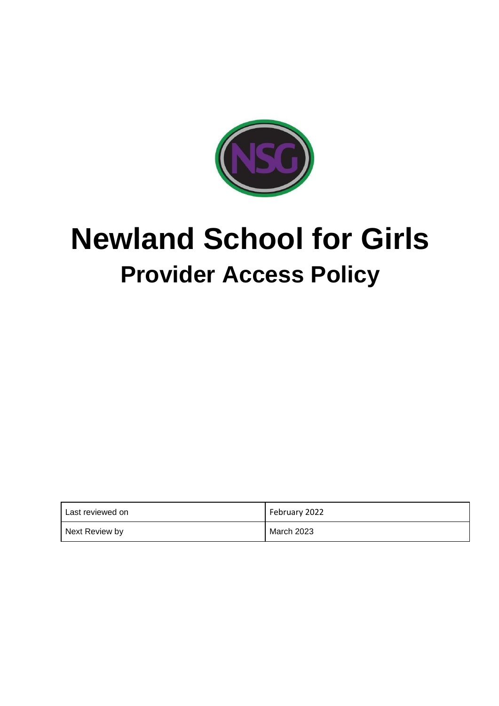

# **Newland School for Girls Provider Access Policy**

| I Last reviewed on | February 2022 |
|--------------------|---------------|
| Next Review by     | March 2023    |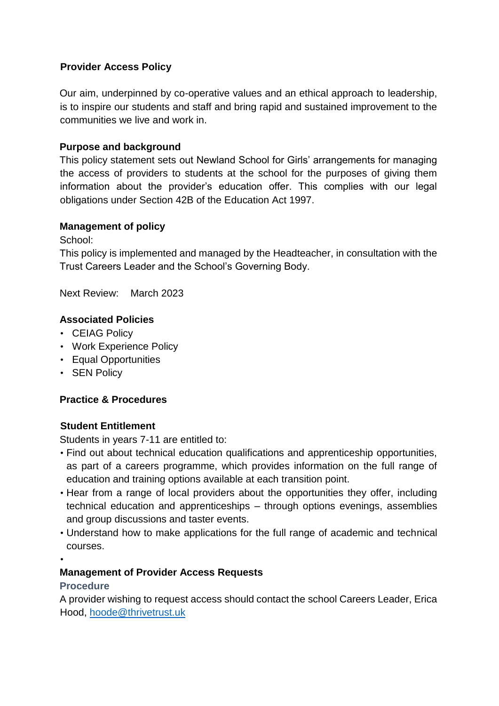### **Provider Access Policy**

Our aim, underpinned by co-operative values and an ethical approach to leadership, is to inspire our students and staff and bring rapid and sustained improvement to the communities we live and work in.

#### **Purpose and background**

This policy statement sets out Newland School for Girls' arrangements for managing the access of providers to students at the school for the purposes of giving them information about the provider's education offer. This complies with our legal obligations under Section 42B of the Education Act 1997.

#### **Management of policy**

School:

This policy is implemented and managed by the Headteacher, in consultation with the Trust Careers Leader and the School's Governing Body.

Next Review: March 2023

#### **Associated Policies**

- CEIAG Policy
- Work Experience Policy
- Equal Opportunities
- SEN Policy

## **Practice & Procedures**

#### **Student Entitlement**

Students in years 7-11 are entitled to:

- Find out about technical education qualifications and apprenticeship opportunities, as part of a careers programme, which provides information on the full range of education and training options available at each transition point.
- Hear from a range of local providers about the opportunities they offer, including technical education and apprenticeships – through options evenings, assemblies and group discussions and taster events.
- Understand how to make applications for the full range of academic and technical courses.
- •

#### **Management of Provider Access Requests**

#### **Procedure**

A provider wishing to request access should contact the school Careers Leader, Erica Hood, hoode@thrivetrust.uk